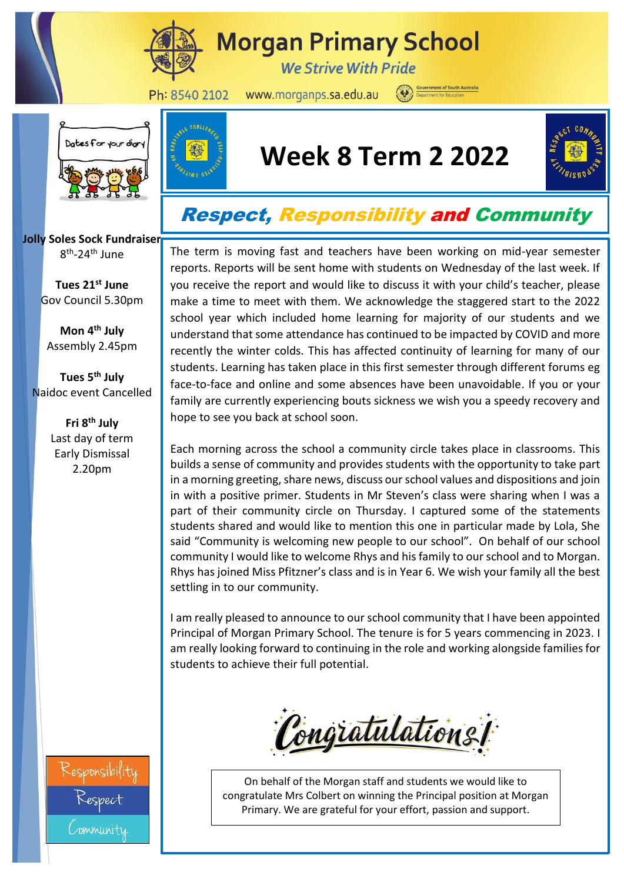

# **Morgan Primary School**

**We Strive With Pride** 

Ph: 8540 2102

www.morganps.sa.edu.au

 $\boldsymbol{\omega}$ 



## **Week 8 Term 2 2022**



### Respect, Responsibility and Community

The term is moving fast and teachers have been working on mid-year semester reports. Reports will be sent home with students on Wednesday of the last week. If you receive the report and would like to discuss it with your child's teacher, please make a time to meet with them. We acknowledge the staggered start to the 2022 school year which included home learning for majority of our students and we understand that some attendance has continued to be impacted by COVID and more recently the winter colds. This has affected continuity of learning for many of our students. Learning has taken place in this first semester through different forums eg face-to-face and online and some absences have been unavoidable. If you or your family are currently experiencing bouts sickness we wish you a speedy recovery and hope to see you back at school soon.

Each morning across the school a community circle takes place in classrooms. This builds a sense of community and provides students with the opportunity to take part in a morning greeting, share news, discuss our school values and dispositions and join in with a positive primer. Students in Mr Steven's class were sharing when I was a part of their community circle on Thursday. I captured some of the statements students shared and would like to mention this one in particular made by Lola, She said "Community is welcoming new people to our school". On behalf of our school community I would like to welcome Rhys and his family to our school and to Morgan. Rhys has joined Miss Pfitzner's class and is in Year 6. We wish your family all the best settling in to our community.

I am really pleased to announce to our school community that I have been appointed Principal of Morgan Primary School. The tenure is for 5 years commencing in 2023. I am really looking forward to continuing in the role and working alongside families for students to achieve their full potential.



On behalf of the Morgan staff and students we would like to congratulate Mrs Colbert on winning the Principal position at Morgan Primary. We are grateful for your effort, passion and support.

**Jolly Soles Sock Fundraiser** 8<sup>th</sup>-24<sup>th</sup> June

> **Tues 21st June** Gov Council 5.30pm

**Mon 4th July** Assembly 2.45pm

**Tues 5th July** Naidoc event Cancelled

> **Fri 8th July** Last day of term Early Dismissal 2.20pm

community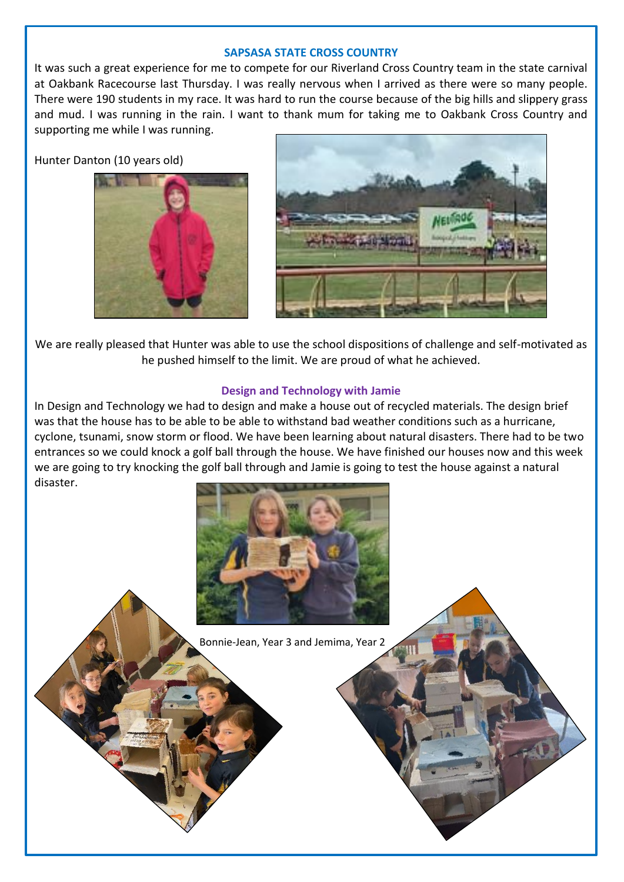#### **SAPSASA STATE CROSS COUNTRY**

It was such a great experience for me to compete for our Riverland Cross Country team in the state carnival at Oakbank Racecourse last Thursday. I was really nervous when I arrived as there were so many people. There were 190 students in my race. It was hard to run the course because of the big hills and slippery grass and mud. I was running in the rain. I want to thank mum for taking me to Oakbank Cross Country and supporting me while I was running.

Hunter Danton (10 years old)





We are really pleased that Hunter was able to use the school dispositions of challenge and self-motivated as he pushed himself to the limit. We are proud of what he achieved.

#### **Design and Technology with Jamie**

In Design and Technology we had to design and make a house out of recycled materials. The design brief was that the house has to be able to be able to withstand bad weather conditions such as a hurricane, cyclone, tsunami, snow storm or flood. We have been learning about natural disasters. There had to be two entrances so we could knock a golf ball through the house. We have finished our houses now and this week we are going to try knocking the golf ball through and Jamie is going to test the house against a natural disaster.



Bonnie-Jean, Year 3 and Jemima, Year 2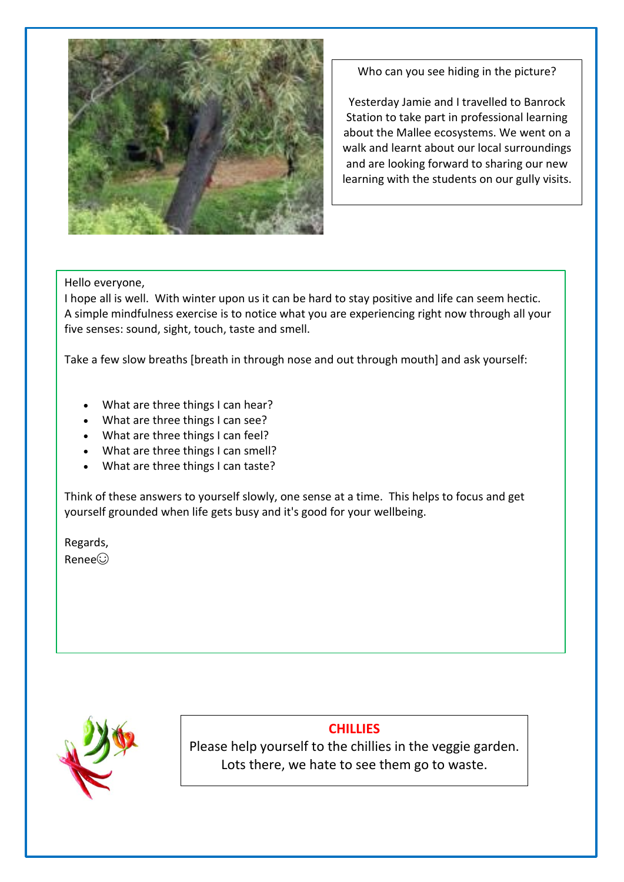

Who can you see hiding in the picture?

Yesterday Jamie and I travelled to Banrock Station to take part in professional learning about the Mallee ecosystems. We went on a walk and learnt about our local surroundings and are looking forward to sharing our new learning with the students on our gully visits.

#### Hello everyone,

I hope all is well. With winter upon us it can be hard to stay positive and life can seem hectic. A simple mindfulness exercise is to notice what you are experiencing right now through all your five senses: sound, sight, touch, taste and smell.

Take a few slow breaths [breath in through nose and out through mouth] and ask yourself:

- What are three things I can hear?
- What are three things I can see?
- What are three things I can feel?
- What are three things I can smell?
- What are three things I can taste?

Think of these answers to yourself slowly, one sense at a time. This helps to focus and get yourself grounded when life gets busy and it's good for your wellbeing.

Regards, Renee☺️



### **CHILLIES**

Please help yourself to the chillies in the veggie garden. Lots there, we hate to see them go to waste.